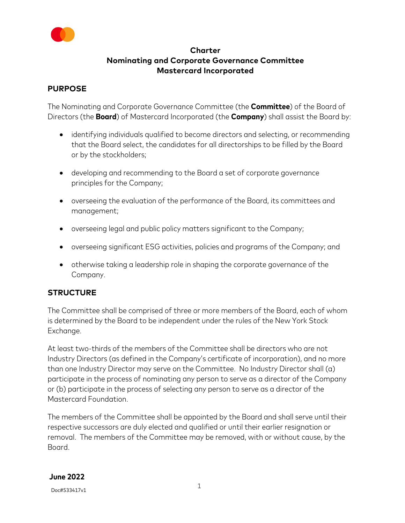

# **Charter Nominating and Corporate Governance Committee Mastercard Incorporated**

### **PURPOSE**

The Nominating and Corporate Governance Committee (the **Committee**) of the Board of Directors (the **Board**) of Mastercard Incorporated (the **Company**) shall assist the Board by:

- identifying individuals qualified to become directors and selecting, or recommending that the Board select, the candidates for all directorships to be filled by the Board or by the stockholders;
- developing and recommending to the Board a set of corporate governance principles for the Company;
- overseeing the evaluation of the performance of the Board, its committees and management;
- overseeing legal and public policy matters significant to the Company;
- overseeing significant ESG activities, policies and programs of the Company; and
- otherwise taking a leadership role in shaping the corporate governance of the Company.

# **STRUCTURE**

The Committee shall be comprised of three or more members of the Board, each of whom is determined by the Board to be independent under the rules of the New York Stock Exchange.

At least two-thirds of the members of the Committee shall be directors who are not Industry Directors (as defined in the Company's certificate of incorporation), and no more than one Industry Director may serve on the Committee. No Industry Director shall (a) participate in the process of nominating any person to serve as a director of the Company or (b) participate in the process of selecting any person to serve as a director of the Mastercard Foundation.

The members of the Committee shall be appointed by the Board and shall serve until their respective successors are duly elected and qualified or until their earlier resignation or removal. The members of the Committee may be removed, with or without cause, by the Board.

#### **June 2022**

Doc#533417v1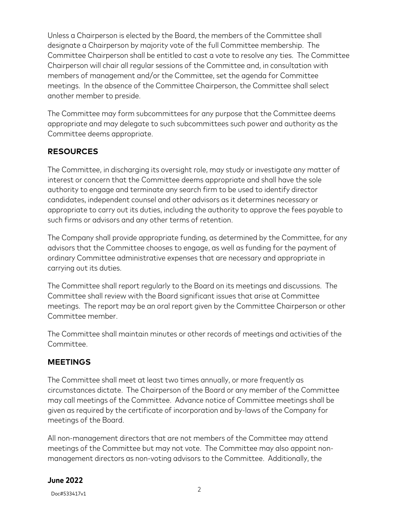Unless a Chairperson is elected by the Board, the members of the Committee shall designate a Chairperson by majority vote of the full Committee membership. The Committee Chairperson shall be entitled to cast a vote to resolve any ties. The Committee Chairperson will chair all regular sessions of the Committee and, in consultation with members of management and/or the Committee, set the agenda for Committee meetings. In the absence of the Committee Chairperson, the Committee shall select another member to preside.

The Committee may form subcommittees for any purpose that the Committee deems appropriate and may delegate to such subcommittees such power and authority as the Committee deems appropriate.

# **RESOURCES**

The Committee, in discharging its oversight role, may study or investigate any matter of interest or concern that the Committee deems appropriate and shall have the sole authority to engage and terminate any search firm to be used to identify director candidates, independent counsel and other advisors as it determines necessary or appropriate to carry out its duties, including the authority to approve the fees payable to such firms or advisors and any other terms of retention.

The Company shall provide appropriate funding, as determined by the Committee, for any advisors that the Committee chooses to engage, as well as funding for the payment of ordinary Committee administrative expenses that are necessary and appropriate in carrying out its duties.

The Committee shall report regularly to the Board on its meetings and discussions. The Committee shall review with the Board significant issues that arise at Committee meetings. The report may be an oral report given by the Committee Chairperson or other Committee member.

The Committee shall maintain minutes or other records of meetings and activities of the Committee.

# **MEETINGS**

The Committee shall meet at least two times annually, or more frequently as circumstances dictate. The Chairperson of the Board or any member of the Committee may call meetings of the Committee. Advance notice of Committee meetings shall be given as required by the certificate of incorporation and by-laws of the Company for meetings of the Board.

All non-management directors that are not members of the Committee may attend meetings of the Committee but may not vote. The Committee may also appoint nonmanagement directors as non-voting advisors to the Committee. Additionally, the

# **June 2022**

Doc#533417v1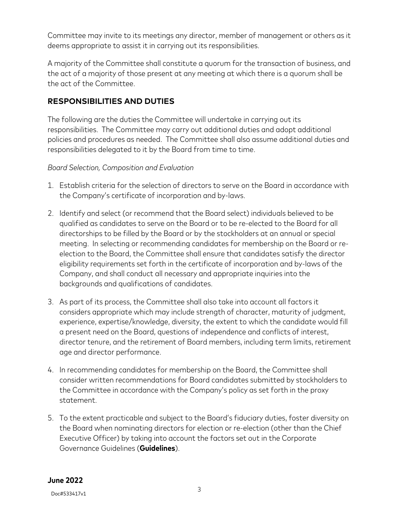Committee may invite to its meetings any director, member of management or others as it deems appropriate to assist it in carrying out its responsibilities.

A majority of the Committee shall constitute a quorum for the transaction of business, and the act of a majority of those present at any meeting at which there is a quorum shall be the act of the Committee.

# **RESPONSIBILITIES AND DUTIES**

The following are the duties the Committee will undertake in carrying out its responsibilities. The Committee may carry out additional duties and adopt additional policies and procedures as needed. The Committee shall also assume additional duties and responsibilities delegated to it by the Board from time to time.

### *Board Selection, Composition and Evaluation*

- 1. Establish criteria for the selection of directors to serve on the Board in accordance with the Company's certificate of incorporation and by-laws.
- 2. Identify and select (or recommend that the Board select) individuals believed to be qualified as candidates to serve on the Board or to be re-elected to the Board for all directorships to be filled by the Board or by the stockholders at an annual or special meeting. In selecting or recommending candidates for membership on the Board or reelection to the Board, the Committee shall ensure that candidates satisfy the director eligibility requirements set forth in the certificate of incorporation and by-laws of the Company, and shall conduct all necessary and appropriate inquiries into the backgrounds and qualifications of candidates.
- 3. As part of its process, the Committee shall also take into account all factors it considers appropriate which may include strength of character, maturity of judgment, experience, expertise/knowledge, diversity, the extent to which the candidate would fill a present need on the Board, questions of independence and conflicts of interest, director tenure, and the retirement of Board members, including term limits, retirement age and director performance.
- 4. In recommending candidates for membership on the Board, the Committee shall consider written recommendations for Board candidates submitted by stockholders to the Committee in accordance with the Company's policy as set forth in the proxy statement.
- 5. To the extent practicable and subject to the Board's fiduciary duties, foster diversity on the Board when nominating directors for election or re-election (other than the Chief Executive Officer) by taking into account the factors set out in the Corporate Governance Guidelines (**Guidelines**).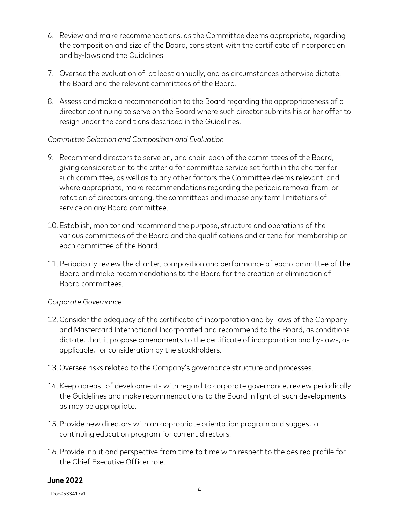- 6. Review and make recommendations, as the Committee deems appropriate, regarding the composition and size of the Board, consistent with the certificate of incorporation and by-laws and the Guidelines.
- 7. Oversee the evaluation of, at least annually, and as circumstances otherwise dictate, the Board and the relevant committees of the Board.
- 8. Assess and make a recommendation to the Board regarding the appropriateness of a director continuing to serve on the Board where such director submits his or her offer to resign under the conditions described in the Guidelines.

### *Committee Selection and Composition and Evaluation*

- 9. Recommend directors to serve on, and chair, each of the committees of the Board, giving consideration to the criteria for committee service set forth in the charter for such committee, as well as to any other factors the Committee deems relevant, and where appropriate, make recommendations regarding the periodic removal from, or rotation of directors among, the committees and impose any term limitations of service on any Board committee.
- 10. Establish, monitor and recommend the purpose, structure and operations of the various committees of the Board and the qualifications and criteria for membership on each committee of the Board.
- 11. Periodically review the charter, composition and performance of each committee of the Board and make recommendations to the Board for the creation or elimination of Board committees.

#### *Corporate Governance*

- 12. Consider the adequacy of the certificate of incorporation and by-laws of the Company and Mastercard International Incorporated and recommend to the Board, as conditions dictate, that it propose amendments to the certificate of incorporation and by-laws, as applicable, for consideration by the stockholders.
- 13. Oversee risks related to the Company's governance structure and processes.
- 14. Keep abreast of developments with regard to corporate governance, review periodically the Guidelines and make recommendations to the Board in light of such developments as may be appropriate.
- 15. Provide new directors with an appropriate orientation program and suggest a continuing education program for current directors.
- 16. Provide input and perspective from time to time with respect to the desired profile for the Chief Executive Officer role.

#### **June 2022**